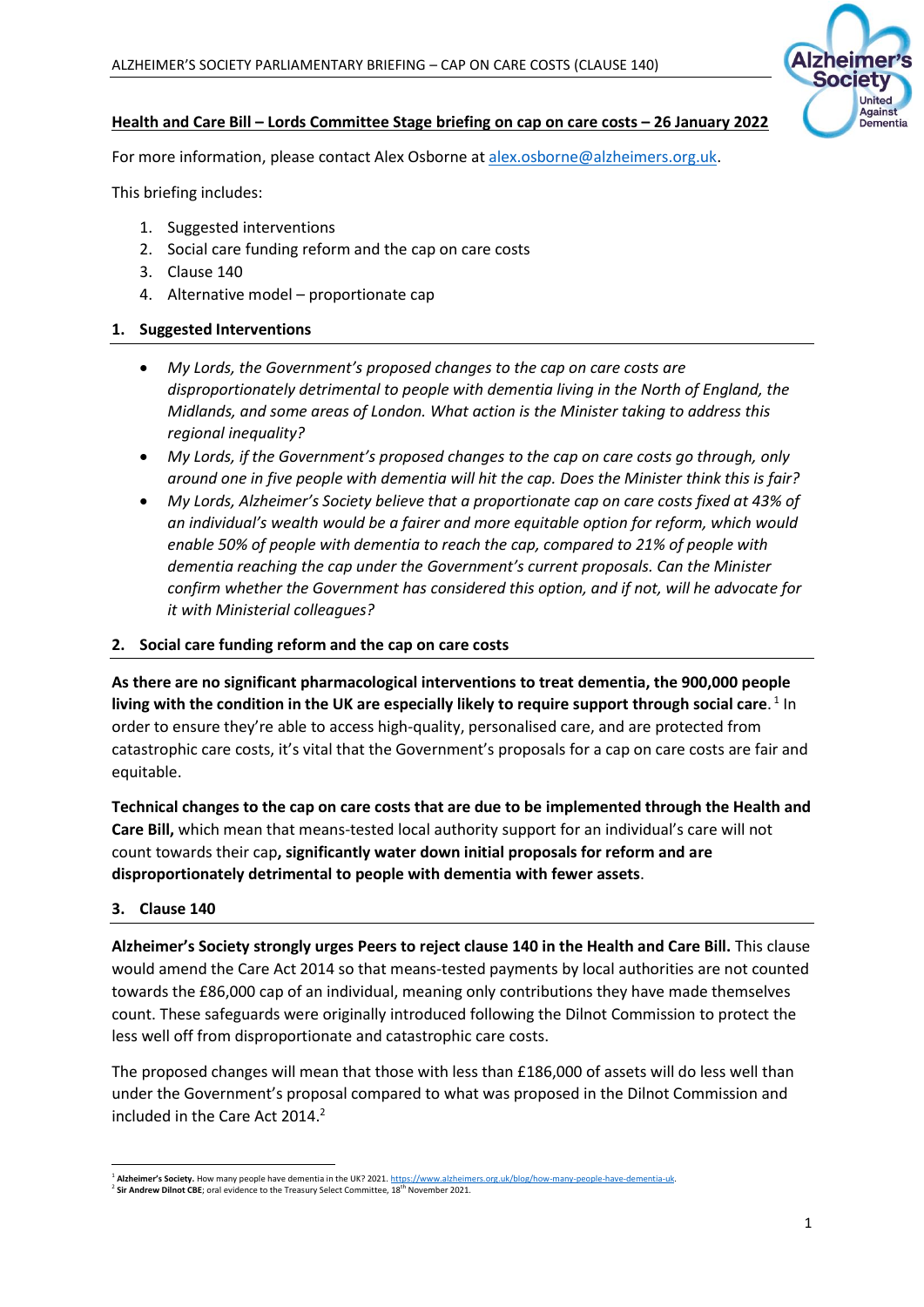

## **Health and Care Bill – Lords Committee Stage briefing on cap on care costs – 26 January 2022**

For more information, please contact Alex Osborne at [alex.osborne@alzheimers.org.uk.](mailto:alex.osborne@alzheimers.org.uk)

This briefing includes:

- 1. Suggested interventions
- 2. Social care funding reform and the cap on care costs
- 3. Clause 140
- 4. Alternative model proportionate cap

### **1. Suggested Interventions**

- *My Lords, the Government's proposed changes to the cap on care costs are disproportionately detrimental to people with dementia living in the North of England, the Midlands, and some areas of London. What action is the Minister taking to address this regional inequality?*
- *My Lords, if the Government's proposed changes to the cap on care costs go through, only around one in five people with dementia will hit the cap. Does the Minister think this is fair?*
- *My Lords, Alzheimer's Society believe that a proportionate cap on care costs fixed at 43% of an individual's wealth would be a fairer and more equitable option for reform, which would enable 50% of people with dementia to reach the cap, compared to 21% of people with dementia reaching the cap under the Government's current proposals. Can the Minister confirm whether the Government has considered this option, and if not, will he advocate for it with Ministerial colleagues?*

#### **2. Social care funding reform and the cap on care costs**

**As there are no significant pharmacological interventions to treat dementia, the 900,000 people**  living with the condition in the UK are especially likely to require support through social care.<sup>1</sup> In order to ensure they're able to access high-quality, personalised care, and are protected from catastrophic care costs, it's vital that the Government's proposals for a cap on care costs are fair and equitable.

**Technical changes to the cap on care costs that are due to be implemented through the Health and Care Bill,** which mean that means-tested local authority support for an individual's care will not count towards their cap**, significantly water down initial proposals for reform and are disproportionately detrimental to people with dementia with fewer assets**.

#### **3. Clause 140**

**Alzheimer's Society strongly urges Peers to reject clause 140 in the Health and Care Bill.** This clause would amend the Care Act 2014 so that means-tested payments by local authorities are not counted towards the £86,000 cap of an individual, meaning only contributions they have made themselves count. These safeguards were originally introduced following the Dilnot Commission to protect the less well off from disproportionate and catastrophic care costs.

The proposed changes will mean that those with less than £186,000 of assets will do less well than under the Government's proposal compared to what was proposed in the Dilnot Commission and included in the Care Act 2014.<sup>2</sup>

<sup>1</sup> **Alzheimer's Society.** How many people have dementia in the UK? 2021[. https://www.alzheimers.org.uk/blog/how-many-people-have-dementia-uk.](https://www.alzheimers.org.uk/blog/how-many-people-have-dementia-uk) 

<sup>&</sup>lt;sup>2</sup> Sir Andrew Dilnot CBE; oral evidence to the Treasury Select Committee, 18<sup>th</sup> November 2021.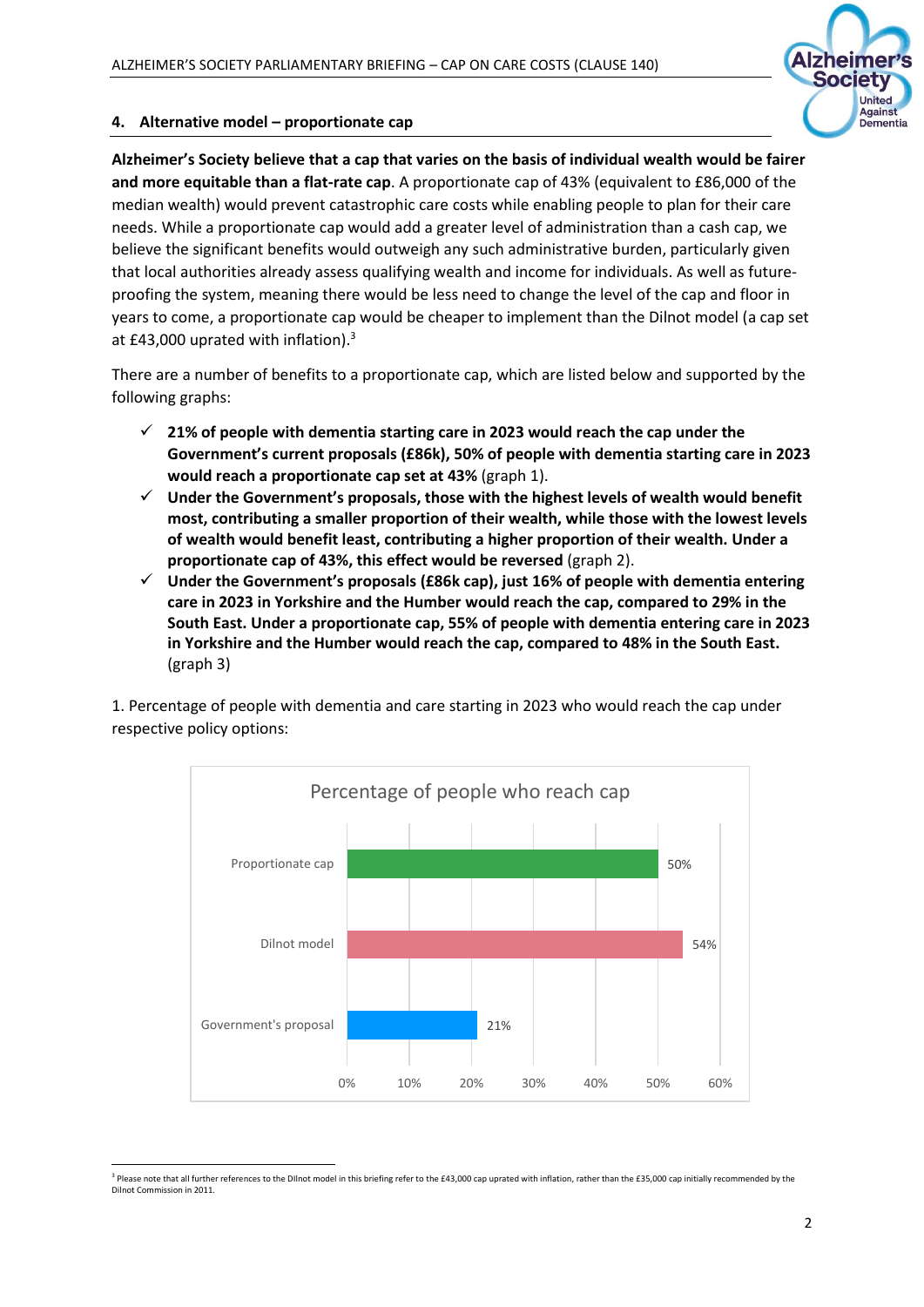

## **4. Alternative model – proportionate cap**

**Alzheimer's Society believe that a cap that varies on the basis of individual wealth would be fairer and more equitable than a flat-rate cap**. A proportionate cap of 43% (equivalent to £86,000 of the median wealth) would prevent catastrophic care costs while enabling people to plan for their care needs. While a proportionate cap would add a greater level of administration than a cash cap, we believe the significant benefits would outweigh any such administrative burden, particularly given that local authorities already assess qualifying wealth and income for individuals. As well as futureproofing the system, meaning there would be less need to change the level of the cap and floor in years to come, a proportionate cap would be cheaper to implement than the Dilnot model (a cap set at £43,000 uprated with inflation).<sup>3</sup>

There are a number of benefits to a proportionate cap, which are listed below and supported by the following graphs:

- ✓ **21% of people with dementia starting care in 2023 would reach the cap under the Government's current proposals (£86k), 50% of people with dementia starting care in 2023 would reach a proportionate cap set at 43%** (graph 1).
- ✓ **Under the Government's proposals, those with the highest levels of wealth would benefit most, contributing a smaller proportion of their wealth, while those with the lowest levels of wealth would benefit least, contributing a higher proportion of their wealth. Under a proportionate cap of 43%, this effect would be reversed** (graph 2).
- ✓ **Under the Government's proposals (£86k cap), just 16% of people with dementia entering care in 2023 in Yorkshire and the Humber would reach the cap, compared to 29% in the South East. Under a proportionate cap, 55% of people with dementia entering care in 2023 in Yorkshire and the Humber would reach the cap, compared to 48% in the South East.** (graph 3)

1. Percentage of people with dementia and care starting in 2023 who would reach the cap under respective policy options:



<sup>&</sup>lt;sup>3</sup> Please note that all further references to the Dllnot model in this briefing refer to the £43,000 cap uprated with inflation, rather than the £35,000 cap initially recommended by the Dilnot Commission in 2011.